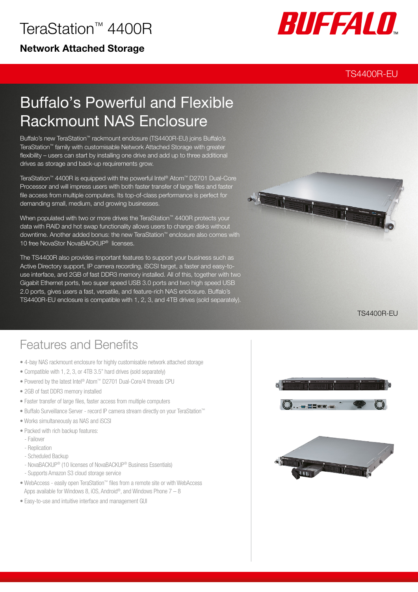# TeraStation™ 4400R

### Network Attached Storage



### TS4400R-EU

# Buffalo's Powerful and Flexible Rackmount NAS Enclosure

Buffalo's new TeraStation™ rackmount enclosure (TS4400R-EU) joins Buffalo's TeraStation™ family with customisable Network Attached Storage with greater flexibility – users can start by installing one drive and add up to three additional drives as storage and back-up requirements grow.

TeraStation™ 4400R is equipped with the powerful Intel® Atom™ D2701 Dual-Core Processor and will impress users with both faster transfer of large files and faster file access from multiple computers. Its top-of-class performance is perfect for demanding small, medium, and growing businesses.

When populated with two or more drives the TeraStation™ 4400R protects your data with RAID and hot swap functionality allows users to change disks without downtime. Another added bonus: the new TeraStation™ enclosure also comes with 10 free NovaStor NovaBACKUP® licenses.

The TS4400R also provides important features to support your business such as Active Directory support, IP camera recording, iSCSI target, a faster and easy-touse interface, and 2GB of fast DDR3 memory installed. All of this, together with two Gigabit Ethernet ports, two super speed USB 3.0 ports and two high speed USB 2.0 ports, gives users a fast, versatile, and feature-rich NAS enclosure. Buffalo's TS4400R-EU enclosure is compatible with 1, 2, 3, and 4TB drives (sold separately).



TS4400R-EU

### Features and Benefits

- 4-bay NAS rackmount enclosure for highly customisable network attached storage
- Compatible with 1, 2, 3, or 4TB 3.5" hard drives (sold separately)
- Powered by the latest Intel® Atom™ D2701 Dual-Core/4 threads CPU
- 2GB of fast DDR3 memory installed
- Faster transfer of large files, faster access from multiple computers
- Buffalo Surveillance Server record IP camera stream directly on your TeraStation™
- Works simultaneously as NAS and iSCSI
- Packed with rich backup features:
- Failover
- Replication
- Scheduled Backup
- NovaBACKUP® (10 licenses of NovaBACKUP® Business Essentials)
- Supports Amazon S3 cloud storage service
- WebAccess easily open TeraStation™ files from a remote site or with WebAccess Apps available for Windows 8, iOS, Android®, and Windows Phone  $7 - 8$
- Easy-to-use and intuitive interface and management GUI